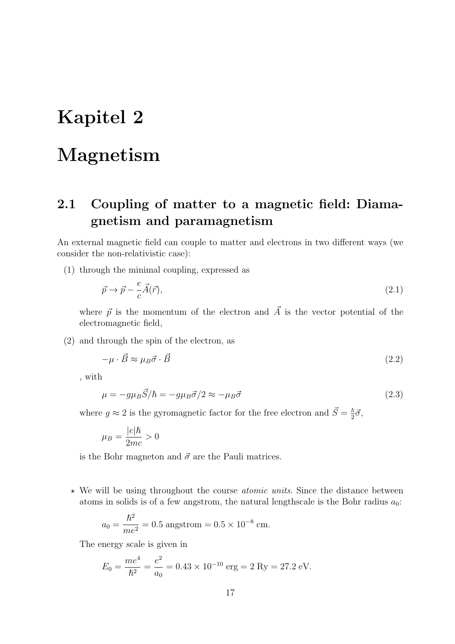# Kapitel 2

## Magnetism

## 2.1 Coupling of matter to a magnetic field: Diamagnetism and paramagnetism

An external magnetic field can couple to matter and electrons in two different ways (we consider the non-relativistic case):

(1) through the minimal coupling, expressed as

$$
\vec{p} \to \vec{p} - \frac{e}{c}\vec{A}(\vec{r}),\tag{2.1}
$$

where  $\vec{p}$  is the momentum of the electron and  $\vec{A}$  is the vector potential of the electromagnetic field,

(2) and through the spin of the electron, as

$$
-\mu \cdot \vec{B} \approx \mu_B \vec{\sigma} \cdot \vec{B} \tag{2.2}
$$

, with

$$
\mu = -g\mu_B \vec{S}/\hbar = -g\mu_B \vec{\sigma}/2 \approx -\mu_B \vec{\sigma}
$$
\n(2.3)

where  $g \approx 2$  is the gyromagnetic factor for the free electron and  $\vec{S} = \frac{\hbar}{2}$  $rac{\hbar}{2}\vec{\sigma},$ 

$$
\mu_B = \frac{|e|\hbar}{2mc} > 0
$$

is the Bohr magneton and  $\vec{\sigma}$  are the Pauli matrices.

 $\star$  We will be using throughout the course *atomic units*. Since the distance between atoms in solids is of a few angstrom, the natural lengthscale is the Bohr radius  $a_0$ :

$$
a_0 = \frac{\hbar^2}{me^2} = 0.5
$$
 angstrom =  $0.5 \times 10^{-8}$  cm.

The energy scale is given in

$$
E_0 = \frac{me^4}{\hbar^2} = \frac{e^2}{a_0} = 0.43 \times 10^{-10}
$$
 erg = 2 Ry = 27.2 eV.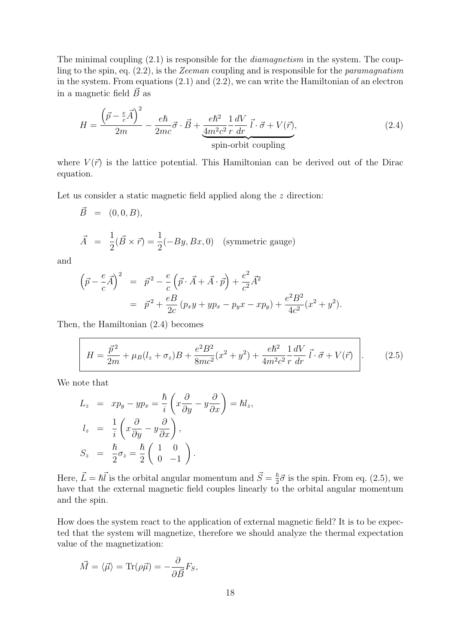The minimal coupling  $(2.1)$  is responsible for the *diamagnetism* in the system. The coupling to the spin, eq. (2.2), is the Zeeman coupling and is responsible for the paramagnatism in the system. From equations (2.1) and (2.2), we can write the Hamiltonian of an electron in a magnetic field  $\vec{B}$  as

$$
H = \frac{\left(\vec{p} - \frac{e}{c}\vec{A}\right)^2}{2m} - \frac{e\hbar}{2mc}\vec{\sigma} \cdot \vec{B} + \frac{e\hbar^2}{4m^2c^2}\frac{1}{r}\frac{dV}{dr}\vec{l} \cdot \vec{\sigma} + V(\vec{r}),
$$
\n(2.4)\n  
\nspin-orbit coupling

where  $V(\vec{r})$  is the lattice potential. This Hamiltonian can be derived out of the Dirac equation.

Let us consider a static magnetic field applied along the z direction:

$$
\vec{B} = (0, 0, B),
$$
  
\n
$$
\vec{A} = \frac{1}{2}(\vec{B} \times \vec{r}) = \frac{1}{2}(-By, Bx, 0)
$$
 (symmetric gauge)

and

$$
\left(\vec{p} - \frac{e}{c}\vec{A}\right)^2 = \vec{p}^2 - \frac{e}{c}\left(\vec{p}\cdot\vec{A} + \vec{A}\cdot\vec{p}\right) + \frac{e^2}{c^2}\vec{A}^2
$$
  
= 
$$
\vec{p}^2 + \frac{eB}{2c}\left(p_x y + yp_x - p_y x - xp_y\right) + \frac{e^2B^2}{4c^2}(x^2 + y^2).
$$

Then, the Hamiltonian (2.4) becomes

$$
H = \frac{\vec{p}^2}{2m} + \mu_B (l_z + \sigma_z) B + \frac{e^2 B^2}{8mc^2} (x^2 + y^2) + \frac{e\hbar^2}{4m^2 c^2} \frac{1}{r} \frac{dV}{dr} \vec{l} \cdot \vec{\sigma} + V(\vec{r}) \qquad (2.5)
$$

We note that

$$
L_z = xp_y - yp_x = \frac{\hbar}{i} \left( x \frac{\partial}{\partial y} - y \frac{\partial}{\partial x} \right) = \hbar l_z,
$$
  
\n
$$
l_z = \frac{1}{i} \left( x \frac{\partial}{\partial y} - y \frac{\partial}{\partial x} \right),
$$
  
\n
$$
S_z = \frac{\hbar}{2} \sigma_z = \frac{\hbar}{2} \left( \begin{array}{cc} 1 & 0 \\ 0 & -1 \end{array} \right).
$$

Here,  $\vec{L} = \hbar \vec{l}$  is the orbital angular momentum and  $\vec{S} = \frac{\hbar}{2}$  $\frac{\hbar}{2}\vec{\sigma}$  is the spin. From eq. (2.5), we have that the external magnetic field couples linearly to the orbital angular momentum and the spin.

How does the system react to the application of external magnetic field? It is to be expected that the system will magnetize, therefore we should analyze the thermal expectation value of the magnetization:

$$
\vec{M} = \langle \vec{\mu} \rangle = \text{Tr}(\rho \vec{\mu}) = -\frac{\partial}{\partial \vec{B}} F_S,
$$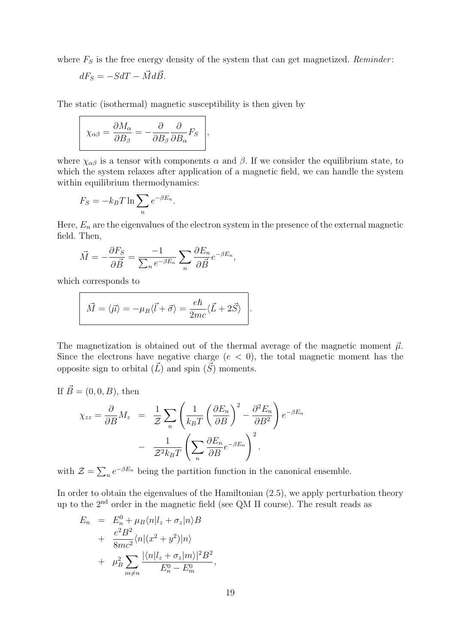where  $F_S$  is the free energy density of the system that can get magnetized. Reminder:

$$
dF_S = -SdT - \vec{M}d\vec{B}.
$$

The static (isothermal) magnetic susceptibility is then given by

$$
\chi_{\alpha\beta} = \frac{\partial M_{\alpha}}{\partial B_{\beta}} = -\frac{\partial}{\partial B_{\beta}} \frac{\partial}{\partial B_{\alpha}} F_{S} \bigg|,
$$

where  $\chi_{\alpha\beta}$  is a tensor with components  $\alpha$  and  $\beta$ . If we consider the equilibrium state, to which the system relaxes after application of a magnetic field, we can handle the system within equilibrium thermodynamics:

$$
F_S = -k_B T \ln \sum_n e^{-\beta E_n}.
$$

Here,  $E_n$  are the eigenvalues of the electron system in the presence of the external magnetic field. Then,

$$
\vec{M} = -\frac{\partial F_S}{\partial \vec{B}} = \frac{-1}{\sum_n e^{-\beta E_n}} \sum_n \frac{\partial E_n}{\partial \vec{B}} e^{-\beta E_n},
$$

which corresponds to

$$
\vec{M} = \langle \vec{\mu} \rangle = -\mu_B \langle \vec{l} + \vec{\sigma} \rangle = \frac{e\hbar}{2mc} \langle \vec{L} + 2\vec{S} \rangle.
$$

The magnetization is obtained out of the thermal average of the magnetic moment  $\vec{\mu}$ . Since the electrons have negative charge  $(e < 0)$ , the total magnetic moment has the opposite sign to orbital  $(\vec{L})$  and spin  $(\vec{S})$  moments.

If 
$$
\vec{B} = (0, 0, B)
$$
, then

$$
\chi_{zz} = \frac{\partial}{\partial B} M_z = \frac{1}{Z} \sum_n \left( \frac{1}{k_B T} \left( \frac{\partial E_n}{\partial B} \right)^2 - \frac{\partial^2 E_n}{\partial B^2} \right) e^{-\beta E_n}
$$

$$
- \frac{1}{Z^2 k_B T} \left( \sum_n \frac{\partial E_n}{\partial B} e^{-\beta E_n} \right)^2.
$$

with  $\mathcal{Z} = \sum_n e^{-\beta E_n}$  being the partition function in the canonical ensemble.

In order to obtain the eigenvalues of the Hamiltonian  $(2.5)$ , we apply perturbation theory up to the 2nd order in the magnetic field (see QM II course). The result reads as

$$
E_n = E_n^0 + \mu_B \langle n | l_z + \sigma_z | n \rangle B
$$
  
+ 
$$
\frac{e^2 B^2}{8mc^2} \langle n | (x^2 + y^2) | n \rangle
$$
  
+ 
$$
\mu_B^2 \sum_{m \neq n} \frac{|\langle n | l_z + \sigma_z | m \rangle|^2 B^2}{E_n^0 - E_m^0},
$$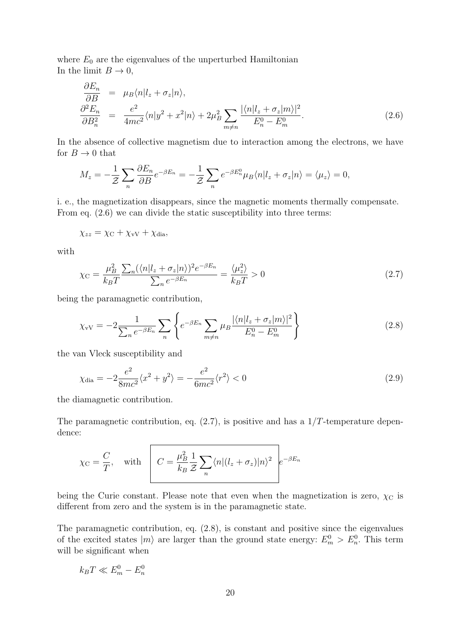where  $E_0$  are the eigenvalues of the unperturbed Hamiltonian In the limit  $B \to 0$ ,

$$
\frac{\partial E_n}{\partial B} = \mu_B \langle n | l_z + \sigma_z | n \rangle,
$$
\n
$$
\frac{\partial^2 E_n}{\partial B_n^2} = \frac{e^2}{4mc^2} \langle n | y^2 + x^2 | n \rangle + 2\mu_B^2 \sum_{m \neq n} \frac{|\langle n | l_z + \sigma_z | m \rangle|^2}{E_n^0 - E_m^0}.
$$
\n(2.6)

In the absence of collective magnetism due to interaction among the electrons, we have for  $B \to 0$  that

$$
M_z = -\frac{1}{\mathcal{Z}} \sum_n \frac{\partial E_n}{\partial B} e^{-\beta E_n} = -\frac{1}{\mathcal{Z}} \sum_n e^{-\beta E_n^0} \mu_B \langle n | l_z + \sigma_z | n \rangle = \langle \mu_z \rangle = 0,
$$

i. e., the magnetization disappears, since the magnetic moments thermally compensate. From eq. (2.6) we can divide the static susceptibility into three terms:

$$
\chi_{zz} = \chi_{\rm C} + \chi_{\rm vV} + \chi_{\rm dia},
$$

with

$$
\chi_{\rm C} = \frac{\mu_B^2}{k_B T} \frac{\sum_n (\langle n | l_z + \sigma_z | n \rangle)^2 e^{-\beta E_n}}{\sum_n e^{-\beta E_n}} = \frac{\langle \mu_z^2 \rangle}{k_B T} > 0 \tag{2.7}
$$

being the paramagnetic contribution,

$$
\chi_{\rm vV} = -2 \frac{1}{\sum_{n} e^{-\beta E_n}} \sum_{n} \left\{ e^{-\beta E_n} \sum_{m \neq n} \mu_B \frac{|\langle n | l_z + \sigma_z | m \rangle|^2}{E_n^0 - E_m^0} \right\} \tag{2.8}
$$

the van Vleck susceptibility and

$$
\chi_{\text{dia}} = -2 \frac{e^2}{8mc^2} \langle x^2 + y^2 \rangle = -\frac{e^2}{6mc^2} \langle r^2 \rangle < 0 \tag{2.9}
$$

the diamagnetic contribution.

The paramagnetic contribution, eq.  $(2.7)$ , is positive and has a  $1/T$ -temperature dependence:

$$
\chi_{\text{C}} = \frac{C}{T}
$$
, with  $C = \frac{\mu_B^2}{k_B} \frac{1}{Z} \sum_n \langle n | (l_z + \sigma_z) | n \rangle^2 e^{-\beta E_n}$ 

being the Curie constant. Please note that even when the magnetization is zero,  $\chi_C$  is different from zero and the system is in the paramagnetic state.

The paramagnetic contribution, eq. (2.8), is constant and positive since the eigenvalues of the excited states  $|m\rangle$  are larger than the ground state energy:  $E_m^0 > E_n^0$ . This term will be significant when

$$
k_B T \ll E_m^0 - E_n^0
$$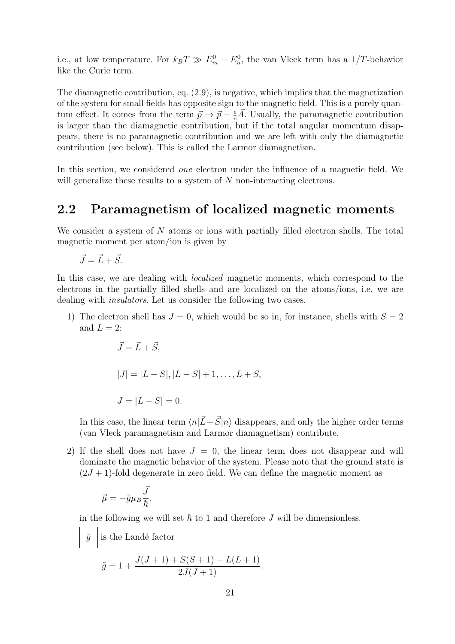i.e., at low temperature. For  $k_B T \gg E_m^0 - E_n^0$ , the van Vleck term has a 1/T-behavior like the Curie term.

The diamagnetic contribution, eq. (2.9), is negative, which implies that the magnetization of the system for small fields has opposite sign to the magnetic field. This is a purely quantum effect. It comes from the term  $\vec{p} \to \vec{p} - \frac{e}{c}\vec{A}$ . Usually, the paramagnetic contribution is larger than the diamagnetic contribution, but if the total angular momentum disappears, there is no paramagnetic contribution and we are left with only the diamagnetic contribution (see below). This is called the Larmor diamagnetism.

In this section, we considered *one* electron under the influence of a magnetic field. We will generalize these results to a system of N non-interacting electrons.

#### 2.2 Paramagnetism of localized magnetic moments

We consider a system of N atoms or ions with partially filled electron shells. The total magnetic moment per atom/ion is given by

 $\vec{J} = \vec{L} + \vec{S}$ .

In this case, we are dealing with *localized* magnetic moments, which correspond to the electrons in the partially filled shells and are localized on the atoms/ions, i.e. we are dealing with *insulators*. Let us consider the following two cases.

1) The electron shell has  $J = 0$ , which would be so in, for instance, shells with  $S = 2$ and  $L = 2$ :

$$
\vec{J} = \vec{L} + \vec{S},
$$
  
\n
$$
|J| = |L - S|, |L - S| + 1, ..., L + S,
$$
  
\n
$$
J = |L - S| = 0.
$$

In this case, the linear term  $\langle n|\vec{L}+\vec{S}|n\rangle$  disappears, and only the higher order terms (van Vleck paramagnetism and Larmor diamagnetism) contribute.

2) If the shell does not have  $J = 0$ , the linear term does not disappear and will dominate the magnetic behavior of the system. Please note that the ground state is  $(2J + 1)$ -fold degenerate in zero field. We can define the magnetic moment as

$$
\vec{\mu} = -\tilde{g}\mu_B \frac{\vec{J}}{\hbar},
$$

in the following we will set  $\hbar$  to 1 and therefore J will be dimensionless.

 $\tilde{g}$  is the Landé factor

$$
\tilde{g} = 1 + \frac{J(J+1) + S(S+1) - L(L+1)}{2J(J+1)}.
$$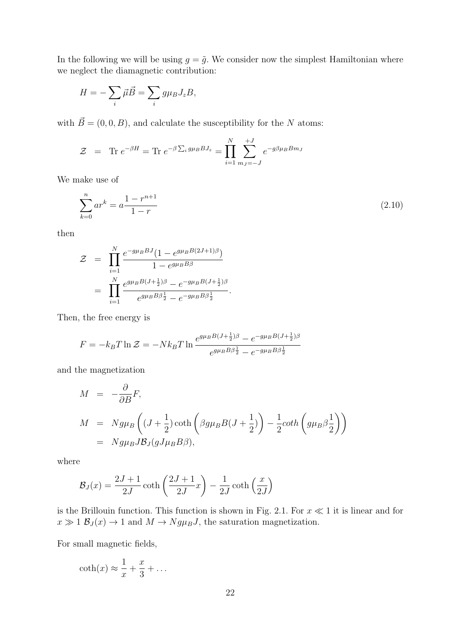In the following we will be using  $g = \tilde{g}$ . We consider now the simplest Hamiltonian where we neglect the diamagnetic contribution:

$$
H = -\sum_{i} \vec{\mu} \vec{B} = \sum_{i} g \mu_B J_z B,
$$

with  $\vec{B} = (0, 0, B)$ , and calculate the susceptibility for the N atoms:

$$
\mathcal{Z} = \text{Tr } e^{-\beta H} = \text{Tr } e^{-\beta \sum_{i} g \mu_B B J_z} = \prod_{i=1}^{N} \sum_{m_j=-J}^{+J} e^{-g \beta \mu_B B m_j}
$$

We make use of

$$
\sum_{k=0}^{n} ar^k = a \frac{1 - r^{n+1}}{1 - r}
$$
\n(2.10)

then

$$
\mathcal{Z} = \prod_{i=1}^{N} \frac{e^{-g\mu_B B J} (1 - e^{g\mu_B B (2J+1)\beta})}{1 - e^{g\mu_B B \beta}}
$$
  
= 
$$
\prod_{i=1}^{N} \frac{e^{g\mu_B B (J + \frac{1}{2})\beta} - e^{-g\mu_B B (J + \frac{1}{2})\beta}}{e^{g\mu_B B \beta \frac{1}{2}} - e^{-g\mu_B B \beta \frac{1}{2}}}.
$$

Then, the free energy is

$$
F = -k_B T \ln \mathcal{Z} = -Nk_B T \ln \frac{e^{g\mu_B B(J + \frac{1}{2})\beta} - e^{-g\mu_B B(J + \frac{1}{2})\beta}}{e^{g\mu_B B\beta \frac{1}{2}} - e^{-g\mu_B B\beta \frac{1}{2}}}
$$

and the magnetization

$$
M = -\frac{\partial}{\partial B} F,
$$
  
\n
$$
M = N g \mu_B \left( (J + \frac{1}{2}) \coth \left( \beta g \mu_B B (J + \frac{1}{2}) \right) - \frac{1}{2} \coth \left( g \mu_B \beta \frac{1}{2} \right) \right)
$$
  
\n
$$
= N g \mu_B J B_J (g J \mu_B B \beta),
$$

where

$$
\mathcal{B}_J(x) = \frac{2J+1}{2J} \coth\left(\frac{2J+1}{2J}x\right) - \frac{1}{2J} \coth\left(\frac{x}{2J}\right)
$$

is the Brillouin function. This function is shown in Fig. 2.1. For  $x \ll 1$  it is linear and for  $x \gg 1$   $\mathcal{B}_J(x) \rightarrow 1$  and  $M \rightarrow Ng\mu_B J$ , the saturation magnetization.

For small magnetic fields,

$$
\coth(x) \approx \frac{1}{x} + \frac{x}{3} + \dots
$$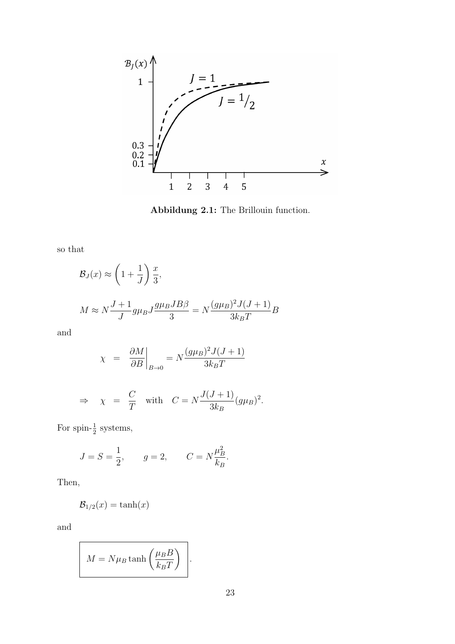

Abbildung 2.1: The Brillouin function.

so that

$$
\mathcal{B}_J(x) \approx \left(1 + \frac{1}{J}\right) \frac{x}{3},
$$
  

$$
M \approx N \frac{J+1}{J} g \mu_B J \frac{g \mu_B J B \beta}{3} = N \frac{(g \mu_B)^2 J (J+1)}{3 k_B T} B
$$

and

$$
\chi = \left. \frac{\partial M}{\partial B} \right|_{B \to 0} = N \frac{(g\mu_B)^2 J(J+1)}{3k_B T}
$$

$$
\Rightarrow \quad \chi = \frac{C}{T} \quad \text{with} \quad C = N \frac{J(J+1)}{3k_B} (g\mu_B)^2.
$$

For spin- $\frac{1}{2}$  systems,

$$
J = S = \frac{1}{2}
$$
,  $g = 2$ ,  $C = N \frac{\mu_B^2}{k_B}$ .

Then,

$$
\mathcal{B}_{1/2}(x) = \tanh(x)
$$

and

$$
M = N\mu_B \tanh\left(\frac{\mu_B B}{k_B T}\right).
$$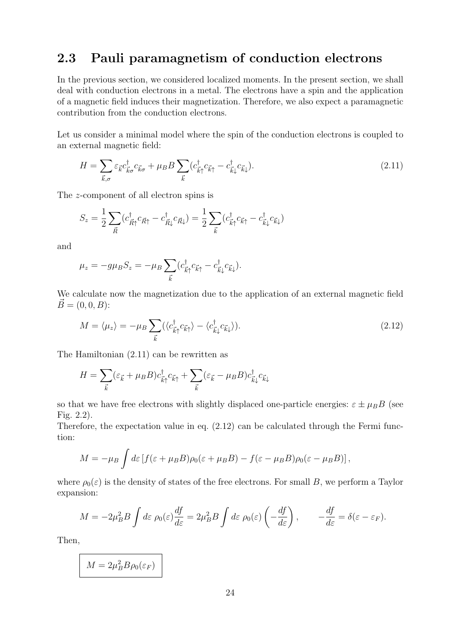## 2.3 Pauli paramagnetism of conduction electrons

In the previous section, we considered localized moments. In the present section, we shall deal with conduction electrons in a metal. The electrons have a spin and the application of a magnetic field induces their magnetization. Therefore, we also expect a paramagnetic contribution from the conduction electrons.

Let us consider a minimal model where the spin of the conduction electrons is coupled to an external magnetic field:

$$
H = \sum_{\vec{k},\sigma} \varepsilon_{\vec{k}} c_{\vec{k}\sigma}^{\dagger} c_{\vec{k}\sigma} + \mu_B B \sum_{\vec{k}} (c_{\vec{k}\uparrow}^{\dagger} c_{\vec{k}\uparrow} - c_{\vec{k}\downarrow}^{\dagger} c_{\vec{k}\downarrow}). \tag{2.11}
$$

The z-component of all electron spins is

$$
S_z = \frac{1}{2} \sum_{\vec{R}} (c_{\vec{R}\uparrow}^{\dagger} c_{\vec{R}\uparrow} - c_{\vec{R}\downarrow}^{\dagger} c_{\vec{R}\downarrow}) = \frac{1}{2} \sum_{\vec{k}} (c_{\vec{k}\uparrow}^{\dagger} c_{\vec{k}\uparrow} - c_{\vec{k}\downarrow}^{\dagger} c_{\vec{k}\downarrow})
$$

and

$$
\mu_z = -g\mu_B S_z = -\mu_B \sum_{\vec{k}} (c_{\vec{k}\uparrow}^\dagger c_{\vec{k}\uparrow} - c_{\vec{k}\downarrow}^\dagger c_{\vec{k}\downarrow}).
$$

We calculate now the magnetization due to the application of an external magnetic field  $\vec{B} = (0, 0, B)$ :

$$
M = \langle \mu_z \rangle = -\mu_B \sum_{\vec{k}} (\langle c_{\vec{k}\uparrow}^{\dagger} c_{\vec{k}\uparrow} \rangle - \langle c_{\vec{k}\downarrow}^{\dagger} c_{\vec{k}\downarrow} \rangle). \tag{2.12}
$$

The Hamiltonian (2.11) can be rewritten as

$$
H = \sum_{\vec{k}} (\varepsilon_{\vec{k}} + \mu_B B) c_{\vec{k}\uparrow}^{\dagger} c_{\vec{k}\uparrow} + \sum_{\vec{k}} (\varepsilon_{\vec{k}} - \mu_B B) c_{\vec{k}\downarrow}^{\dagger} c_{\vec{k}\downarrow}
$$

so that we have free electrons with slightly displaced one-particle energies:  $\varepsilon \pm \mu_B B$  (see Fig. 2.2).

Therefore, the expectation value in eq. (2.12) can be calculated through the Fermi function:

$$
M = -\mu_B \int d\varepsilon \left[ f(\varepsilon + \mu_B B)\rho_0(\varepsilon + \mu_B B) - f(\varepsilon - \mu_B B)\rho_0(\varepsilon - \mu_B B) \right],
$$

where  $\rho_0(\varepsilon)$  is the density of states of the free electrons. For small B, we perform a Taylor expansion:

$$
M = -2\mu_B^2 B \int d\varepsilon \, \rho_0(\varepsilon) \frac{df}{d\varepsilon} = 2\mu_B^2 B \int d\varepsilon \, \rho_0(\varepsilon) \left(-\frac{df}{d\varepsilon}\right), \qquad -\frac{df}{d\varepsilon} = \delta(\varepsilon - \varepsilon_F).
$$

Then,

 $M = 2\mu_B^2 B \rho_0(\varepsilon_F)$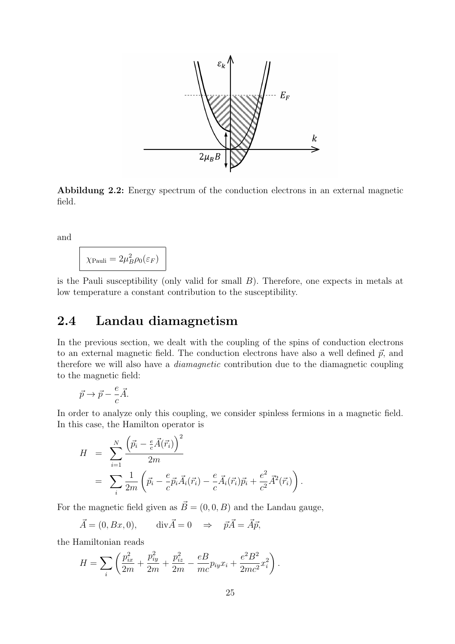

Abbildung 2.2: Energy spectrum of the conduction electrons in an external magnetic field.

and

$$
\chi_{\text{Pauli}} = 2\mu_B^2 \rho_0(\varepsilon_F)
$$

is the Pauli susceptibility (only valid for small  $B$ ). Therefore, one expects in metals at low temperature a constant contribution to the susceptibility.

#### 2.4 Landau diamagnetism

In the previous section, we dealt with the coupling of the spins of conduction electrons to an external magnetic field. The conduction electrons have also a well defined  $\vec{p}$ , and therefore we will also have a diamagnetic contribution due to the diamagnetic coupling to the magnetic field:

$$
\vec{p} \to \vec{p} - \frac{e}{c}\vec{A}.
$$

In order to analyze only this coupling, we consider spinless fermions in a magnetic field. In this case, the Hamilton operator is

$$
H = \sum_{i=1}^{N} \frac{(\vec{p}_i - \frac{e}{c}\vec{A}(\vec{r}_i))^2}{2m}
$$
  
= 
$$
\sum_{i} \frac{1}{2m} (\vec{p}_i - \frac{e}{c}\vec{p}_i\vec{A}_i(\vec{r}_i) - \frac{e}{c}\vec{A}_i(\vec{r}_i)\vec{p}_i + \frac{e^2}{c^2}\vec{A}^2(\vec{r}_i)).
$$

For the magnetic field given as  $\vec{B} = (0, 0, B)$  and the Landau gauge,

$$
\vec{A} = (0, Bx, 0), \qquad \text{div}\vec{A} = 0 \quad \Rightarrow \quad \vec{p}\vec{A} = \vec{A}\vec{p},
$$

the Hamiltonian reads

$$
H = \sum_{i} \left( \frac{p_{ix}^2}{2m} + \frac{p_{iy}^2}{2m} + \frac{p_{iz}^2}{2m} - \frac{eB}{mc} p_{iy} x_i + \frac{e^2 B^2}{2mc^2} x_i^2 \right).
$$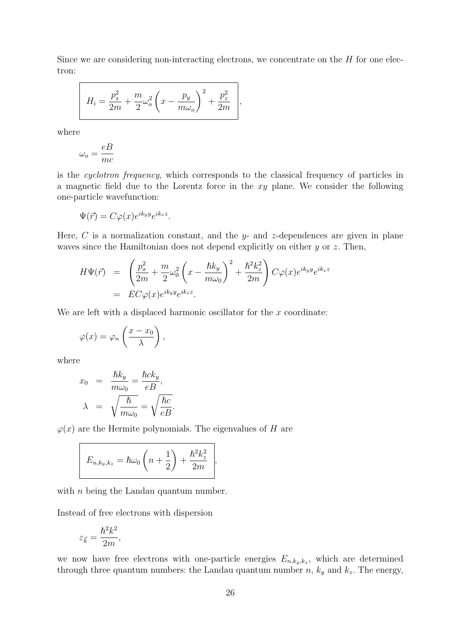Since we are considering non-interacting electrons, we concentrate on the  $H$  for one electron:

$$
H_i = \frac{p_x^2}{2m} + \frac{m}{2}\omega_o^2 \left(x - \frac{p_y}{m\omega_o}\right)^2 + \frac{p_z^2}{2m},
$$

where

$$
\omega_o = \frac{eB}{mc}
$$

is the cyclotron frequency, which corresponds to the classical frequency of particles in a magnetic field due to the Lorentz force in the xy plane. We consider the following one-particle wavefunction:

$$
\Psi(\vec{r}) = C\varphi(x)e^{ik_yy}e^{ik_zz}.
$$

Here, C is a normalization constant, and the y- and z-dependences are given in plane waves since the Hamiltonian does not depend explicitly on either  $y$  or  $z$ . Then,

$$
H\Psi(\vec{r}) = \left(\frac{p_x^2}{2m} + \frac{m}{2}\omega_0^2\left(x - \frac{\hbar k_y}{m\omega_0}\right)^2 + \frac{\hbar^2 k_z^2}{2m}\right)C\varphi(x)e^{ik_yy}e^{ik_zz}
$$
  
=  $EC\varphi(x)e^{ik_yy}e^{ik_zz}.$ 

We are left with a displaced harmonic oscillator for the  $x$  coordinate:

$$
\varphi(x) = \varphi_n\left(\frac{x - x_0}{\lambda}\right),\,
$$

where

$$
x_0 = \frac{\hbar k_y}{m\omega_0} = \frac{\hbar c k_y}{eB},
$$
  

$$
\lambda = \sqrt{\frac{\hbar}{m\omega_0}} = \sqrt{\frac{\hbar c}{eB}}.
$$

 $\varphi(x)$  are the Hermite polynomials. The eigenvalues of H are

$$
E_{n,k_y,k_z} = \hbar\omega_0 \left(n + \frac{1}{2}\right) + \frac{\hbar^2 k_z^2}{2m} \Bigg|,
$$

with  $n$  being the Landau quantum number.

Instead of free electrons with dispersion

$$
\varepsilon_{\vec{k}}=\frac{\hbar^2 k^2}{2m},
$$

we now have free electrons with one-particle energies  $E_{n,k_y,k_z}$ , which are determined through three quantum numbers: the Landau quantum number n,  $k_y$  and  $k_z$ . The energy,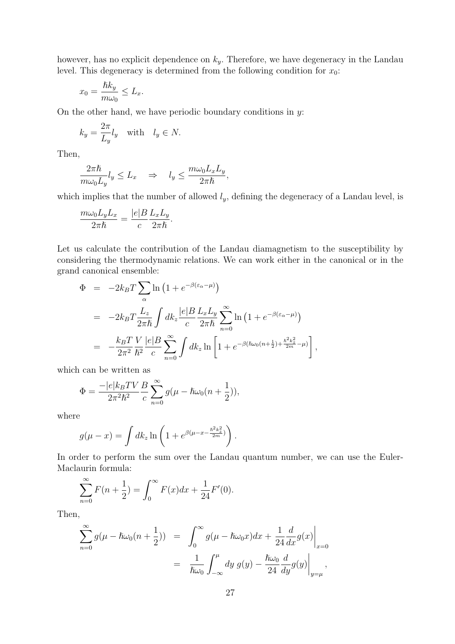however, has no explicit dependence on  $k_y$ . Therefore, we have degeneracy in the Landau level. This degeneracy is determined from the following condition for  $x_0$ :

$$
x_0 = \frac{\hbar k_y}{m\omega_0} \le L_x.
$$

On the other hand, we have periodic boundary conditions in  $y$ :

$$
k_y = \frac{2\pi}{L_y} l_y \quad \text{with} \quad l_y \in N.
$$

Then,

$$
\frac{2\pi\hbar}{m\omega_0 L_y} l_y \leq L_x \quad \Rightarrow \quad l_y \leq \frac{m\omega_0 L_x L_y}{2\pi\hbar},
$$

which implies that the number of allowed  $l_y$ , defining the degeneracy of a Landau level, is

$$
\frac{m\omega_0 L_y L_x}{2\pi\hbar} = \frac{|e|B}{c} \frac{L_x L_y}{2\pi\hbar}.
$$

Let us calculate the contribution of the Landau diamagnetism to the susceptibility by considering the thermodynamic relations. We can work either in the canonical or in the grand canonical ensemble:

$$
\Phi = -2k_B T \sum_{\alpha} \ln \left( 1 + e^{-\beta(\varepsilon_{\alpha} - \mu)} \right)
$$
\n
$$
= -2k_B T \frac{L_z}{2\pi\hbar} \int dk_z \frac{|e|B L_x L_y}{c} \sum_{n=0}^{\infty} \ln \left( 1 + e^{-\beta(\varepsilon_{\alpha} - \mu)} \right)
$$
\n
$$
= -\frac{k_B T V}{2\pi^2} \frac{|e|B}{\hbar^2} \sum_{n=0}^{\infty} \int dk_z \ln \left[ 1 + e^{-\beta(\hbar\omega_0(n + \frac{1}{2}) + \frac{\hbar^2 k_z^2}{2m} - \mu)} \right],
$$

which can be written as

$$
\Phi = \frac{-|e|k_B T V}{2\pi^2 \hbar^2} \frac{B}{c} \sum_{n=0}^{\infty} g(\mu - \hbar \omega_0 (n + \frac{1}{2})),
$$

where

$$
g(\mu - x) = \int dk_z \ln \left( 1 + e^{\beta(\mu - x - \frac{\hbar^2 k_z^2}{2m})} \right).
$$

In order to perform the sum over the Landau quantum number, we can use the Euler-Maclaurin formula:

$$
\sum_{n=0}^{\infty} F(n + \frac{1}{2}) = \int_0^{\infty} F(x) dx + \frac{1}{24} F'(0).
$$

Then,

$$
\sum_{n=0}^{\infty} g(\mu - \hbar \omega_0 (n + \frac{1}{2})) = \int_0^{\infty} g(\mu - \hbar \omega_0 x) dx + \frac{1}{24} \frac{d}{dx} g(x) \Big|_{x=0}
$$
  
=  $\frac{1}{\hbar \omega_0} \int_{-\infty}^{\mu} dy g(y) - \frac{\hbar \omega_0}{24} \frac{d}{dy} g(y) \Big|_{y=\mu}$ ,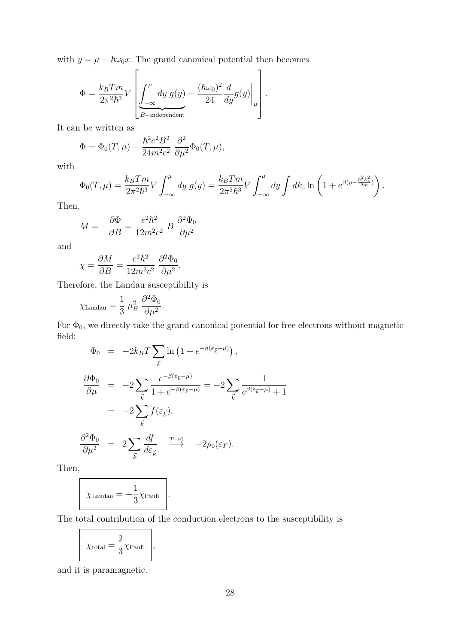with  $y = \mu - \hslash \omega_0 x$ . The grand canonical potential then becomes

$$
\Phi = \frac{k_B T m}{2\pi^2 \hbar^3} V \left[ \underbrace{\int_{-\infty}^{\mu} dy \ g(y)}_{B-\text{independent}} - \frac{(\hbar \omega_0)^2}{24} \frac{d}{dy} g(y) \Big|_{\mu} \right].
$$

It can be written as

$$
\Phi = \Phi_0(T,\mu) - \frac{\hbar^2 e^2 B^2}{24m^2 c^2} \frac{\partial^2}{\partial \mu^2} \Phi_0(T,\mu),
$$

 $\overline{a}$ 

with

$$
\Phi_0(T,\mu) = \frac{k_B T m}{2\pi^2 \hbar^3} V \int_{-\infty}^{\mu} dy \ g(y) = \frac{k_B T m}{2\pi^2 \hbar^3} V \int_{-\infty}^{\mu} dy \int dk_z \ln\left(1 + e^{\beta(y - \frac{\hbar^2 k_z^2}{2m})}\right).
$$

Then,

$$
M = -\frac{\partial \Phi}{\partial B} = \frac{e^2 \hbar^2}{12m^2 c^2} B \frac{\partial^2 \Phi_0}{\partial \mu^2}
$$

and

$$
\chi = \frac{\partial M}{\partial B} = \frac{e^2 \hbar^2}{12m^2 c^2} \frac{\partial^2 \Phi_0}{\partial \mu^2}.
$$

Therefore, the Landau susceptibility is

$$
\chi_{\text{Landau}} = \frac{1}{3} \mu_B^2 \frac{\partial^2 \Phi_0}{\partial \mu^2}.
$$

For  $\Phi_0$ , we directly take the grand canonical potential for free electrons without magnetic field:

$$
\Phi_0 = -2k_B T \sum_{\vec{k}} \ln (1 + e^{-\beta(\varepsilon_{\vec{k}} - \mu)}) ,
$$
  
\n
$$
\frac{\partial \Phi_0}{\partial \mu} = -2 \sum_{\vec{k}} \frac{e^{-\beta(\varepsilon_{\vec{k}} - \mu)}}{1 + e^{-\beta(\varepsilon_{\vec{k}} - \mu)}} = -2 \sum_{\vec{k}} \frac{1}{e^{\beta(\varepsilon_{\vec{k}} - \mu)} + 1}
$$
  
\n
$$
= -2 \sum_{\vec{k}} f(\varepsilon_{\vec{k}}),
$$
  
\n
$$
\frac{\partial^2 \Phi_0}{\partial \mu^2} = 2 \sum_{\vec{k}} \frac{df}{d\varepsilon_{\vec{k}}} \xrightarrow{T \to 0} -2\rho_0(\varepsilon_F).
$$

Then,

$$
\chi_{\text{Landau}} = -\frac{1}{3} \chi_{\text{Pauli}} \Bigg|.
$$

The total contribution of the conduction electrons to the susceptibility is

$$
\boxed{\chi_{\text{total}} = \frac{2}{3} \chi_{\text{Pauli}}},
$$

and it is paramagnetic.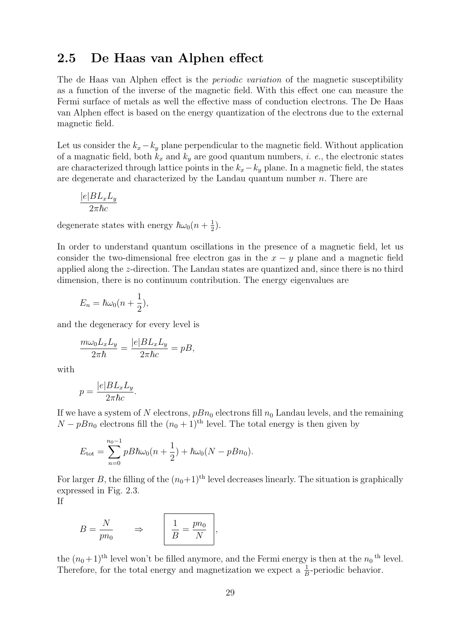#### 2.5 De Haas van Alphen effect

The de Haas van Alphen effect is the *periodic variation* of the magnetic susceptibility as a function of the inverse of the magnetic field. With this effect one can measure the Fermi surface of metals as well the effective mass of conduction electrons. The De Haas van Alphen effect is based on the energy quantization of the electrons due to the external magnetic field.

Let us consider the  $k_x - k_y$  plane perpendicular to the magnetic field. Without application of a magnatic field, both  $k_x$  and  $k_y$  are good quantum numbers, *i. e.*, the electronic states are characterized through lattice points in the  $k_x-k_y$  plane. In a magnetic field, the states are degenerate and characterized by the Landau quantum number  $n$ . There are

$$
\frac{|e|BL_xL_y}{2\pi\hbar c}
$$

degenerate states with energy  $\hbar\omega_0(n+\frac{1}{2})$  $(\frac{1}{2})$ .

In order to understand quantum oscillations in the presence of a magnetic field, let us consider the two-dimensional free electron gas in the  $x - y$  plane and a magnetic field applied along the z-direction. The Landau states are quantized and, since there is no third dimension, there is no continuum contribution. The energy eigenvalues are

$$
E_n = \hbar \omega_0 (n + \frac{1}{2}),
$$

and the degeneracy for every level is

$$
\frac{m\omega_0 L_x L_y}{2\pi\hbar} = \frac{|e|BL_x L_y}{2\pi\hbar c} = pB,
$$

with

$$
p = \frac{|e|BL_xL_y}{2\pi\hbar c}.
$$

If we have a system of N electrons,  $pBn_0$  electrons fill  $n_0$  Landau levels, and the remaining  $N - pBn_0$  electrons fill the  $(n_0 + 1)$ <sup>th</sup> level. The total energy is then given by

$$
E_{\text{tot}} = \sum_{n=0}^{n_0 - 1} pB\hbar\omega_0(n + \frac{1}{2}) + \hbar\omega_0(N - pBn_0).
$$

For larger B, the filling of the  $(n_0+1)$ <sup>th</sup> level decreases linearly. The situation is graphically expressed in Fig. 2.3.

If

$$
B = \frac{N}{pn_0} \qquad \Rightarrow \qquad \frac{1}{B} = \frac{pn_0}{N},
$$

the  $(n_0+1)$ <sup>th</sup> level won't be filled anymore, and the Fermi energy is then at the  $n_0$ <sup>th</sup> level. Therefore, for the total energy and magnetization we expect a  $\frac{1}{6}$  $\frac{1}{B}$ -periodic behavior.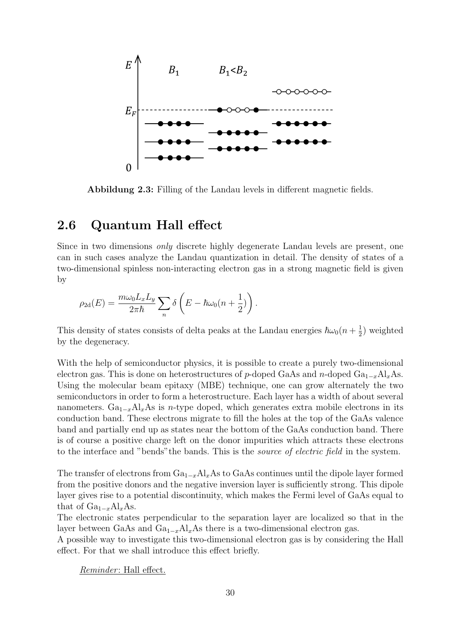

Abbildung 2.3: Filling of the Landau levels in different magnetic fields.

### 2.6 Quantum Hall effect

Since in two dimensions only discrete highly degenerate Landau levels are present, one can in such cases analyze the Landau quantization in detail. The density of states of a two-dimensional spinless non-interacting electron gas in a strong magnetic field is given by

$$
\rho_{2d}(E) = \frac{m\omega_0 L_x L_y}{2\pi\hbar} \sum_n \delta\left(E - \hbar\omega_0(n + \frac{1}{2})\right).
$$

This density of states consists of delta peaks at the Landau energies  $\hbar\omega_0(n + \frac{1}{2})$  $(\frac{1}{2})$  weighted by the degeneracy.

With the help of semiconductor physics, it is possible to create a purely two-dimensional electron gas. This is done on heterostructures of p-doped GaAs and n-doped  $Ga_{1-x}Al_xAs$ . Using the molecular beam epitaxy (MBE) technique, one can grow alternately the two semiconductors in order to form a heterostructure. Each layer has a width of about several nanometers. Ga<sub>1-x</sub>Al<sub>x</sub>As is n-type doped, which generates extra mobile electrons in its conduction band. These electrons migrate to fill the holes at the top of the GaAs valence band and partially end up as states near the bottom of the GaAs conduction band. There is of course a positive charge left on the donor impurities which attracts these electrons to the interface and "bends" the bands. This is the *source of electric field* in the system.

The transfer of electrons from  $Ga_{1-x}Al_xAs$  to GaAs continues until the dipole layer formed from the positive donors and the negative inversion layer is sufficiently strong. This dipole layer gives rise to a potential discontinuity, which makes the Fermi level of GaAs equal to that of  $Ga_{1-x}Al_xAs$ .

The electronic states perpendicular to the separation layer are localized so that in the layer between GaAs and  $Ga_{1-x}Al_xAs$  there is a two-dimensional electron gas.

A possible way to investigate this two-dimensional electron gas is by considering the Hall effect. For that we shall introduce this effect briefly.

Reminder: Hall effect.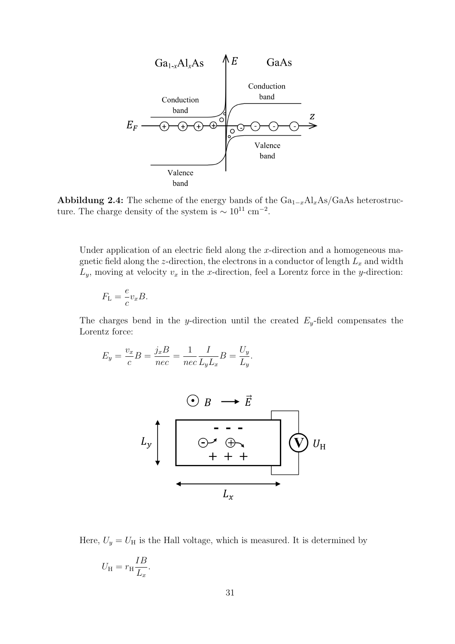

Abbildung 2.4: The scheme of the energy bands of the  $Ga_{1-x}Al_xAs/GaAs$  heterostructure. The charge density of the system is  $\sim 10^{11}$  cm<sup>-2</sup>.

Under application of an electric field along the  $x$ -direction and a homogeneous magnetic field along the z-direction, the electrons in a conductor of length  $L_x$  and width  $L_y$ , moving at velocity  $v_x$  in the x-direction, feel a Lorentz force in the y-direction:

$$
F_{\mathcal{L}} = \frac{e}{c} v_x B.
$$

The charges bend in the y-direction until the created  $E_y$ -field compensates the Lorentz force:

$$
E_y = \frac{v_x}{c}B = \frac{j_x B}{nec} = \frac{1}{nec} \frac{I}{L_y L_x}B = \frac{U_y}{L_y}.
$$



Here,  $U_y = U_H$  is the Hall voltage, which is measured. It is determined by

$$
U_{\rm H} = r_{\rm H} \frac{IB}{L_x}.
$$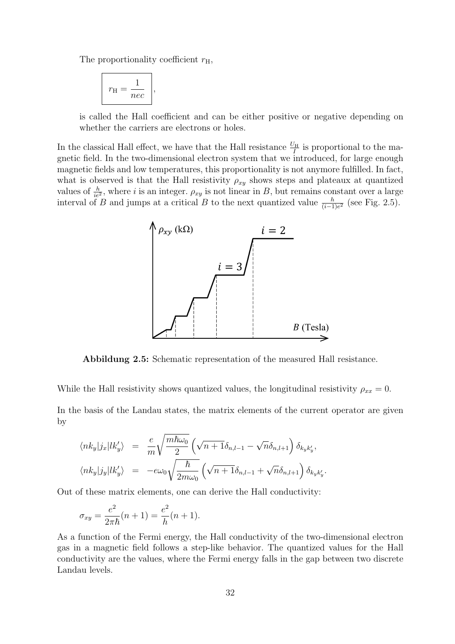The proportionality coefficient  $r_{\rm H}$ ,

$$
r_{\rm H} = \frac{1}{nec} \Bigg|,
$$

is called the Hall coefficient and can be either positive or negative depending on whether the carriers are electrons or holes.

In the classical Hall effect, we have that the Hall resistance  $\frac{U_{\rm H}}{I}$  is proportional to the magnetic field. In the two-dimensional electron system that we introduced, for large enough magnetic fields and low temperatures, this proportionality is not anymore fulfilled. In fact, what is observed is that the Hall resistivity  $\rho_{xy}$  shows steps and plateaux at quantized values of  $\frac{h}{ie^2}$ , where i is an integer.  $\rho_{xy}$  is not linear in B, but remains constant over a large interval of B and jumps at a critical B to the next quantized value  $\frac{h}{(i-1)e^2}$  (see Fig. 2.5).



Abbildung 2.5: Schematic representation of the measured Hall resistance.

While the Hall resistivity shows quantized values, the longitudinal resistivity  $\rho_{xx} = 0$ .

In the basis of the Landau states, the matrix elements of the current operator are given by

$$
\langle nk_y|j_x|lk_y'\rangle = \frac{e}{m}\sqrt{\frac{m\hbar\omega_0}{2}}\left(\sqrt{n+1}\delta_{n,l-1} - \sqrt{n}\delta_{n,l+1}\right)\delta_{k_yk_y'},
$$
  

$$
\langle nk_y|j_y|lk_y'\rangle = -e\omega_0\sqrt{\frac{\hbar}{2m\omega_0}}\left(\sqrt{n+1}\delta_{n,l-1} + \sqrt{n}\delta_{n,l+1}\right)\delta_{k_yk_y'}.
$$

Out of these matrix elements, one can derive the Hall conductivity:

$$
\sigma_{xy} = \frac{e^2}{2\pi\hbar}(n+1) = \frac{e^2}{h}(n+1).
$$

As a function of the Fermi energy, the Hall conductivity of the two-dimensional electron gas in a magnetic field follows a step-like behavior. The quantized values for the Hall conductivity are the values, where the Fermi energy falls in the gap between two discrete Landau levels.